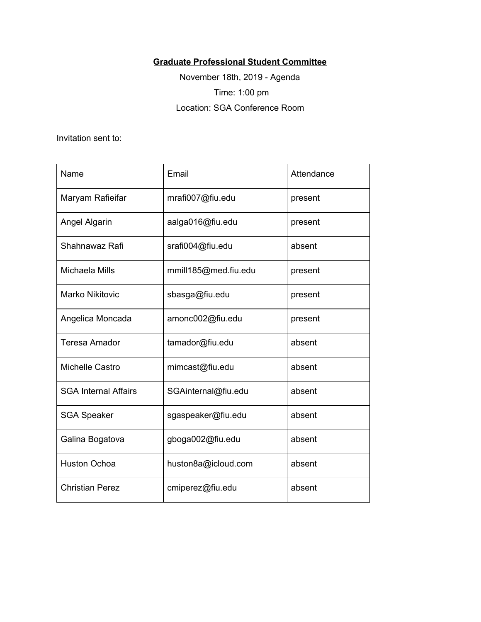## **Graduate Professional Student Committee**

November 18th, 2019 - Agenda Time: 1:00 pm Location: SGA Conference Room

Invitation sent to:

| Name                        | Email                | Attendance |
|-----------------------------|----------------------|------------|
| Maryam Rafieifar            | mrafi007@fiu.edu     | present    |
| Angel Algarin               | aalga016@fiu.edu     | present    |
| Shahnawaz Rafi              | srafi004@fiu.edu     | absent     |
| Michaela Mills              | mmill185@med.fiu.edu | present    |
| <b>Marko Nikitovic</b>      | sbasga@fiu.edu       | present    |
| Angelica Moncada            | amonc002@fiu.edu     | present    |
| <b>Teresa Amador</b>        | tamador@fiu.edu      | absent     |
| Michelle Castro             | mimcast@fiu.edu      | absent     |
| <b>SGA Internal Affairs</b> | SGAinternal@fiu.edu  | absent     |
| <b>SGA Speaker</b>          | sgaspeaker@fiu.edu   | absent     |
| Galina Bogatova             | gboga002@fiu.edu     | absent     |
| <b>Huston Ochoa</b>         | huston8a@icloud.com  | absent     |
| <b>Christian Perez</b>      | cmiperez@fiu.edu     | absent     |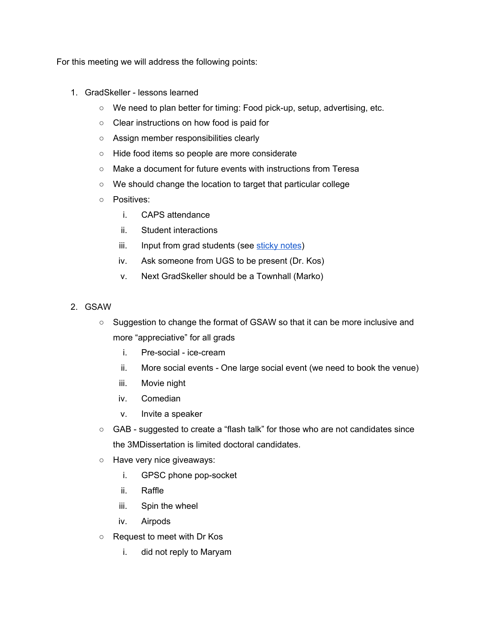For this meeting we will address the following points:

- 1. GradSkeller lessons learned
	- We need to plan better for timing: Food pick-up, setup, advertising, etc.
	- Clear instructions on how food is paid for
	- Assign member responsibilities clearly
	- Hide food items so people are more considerate
	- Make a document for future events with instructions from Teresa
	- We should change the location to target that particular college
	- Positives:
		- i. CAPS attendance
		- ii. Student interactions
		- iii. Input from grad students (see [sticky](https://docs.google.com/document/d/1yKJ5cILzLTODP0iPSGrtZsHbAz2qbw6NdduiqyxhmqM/edit?usp=sharing) notes)
		- iv. Ask someone from UGS to be present (Dr. Kos)
		- v. Next GradSkeller should be a Townhall (Marko)
- 2. GSAW
	- Suggestion to change the format of GSAW so that it can be more inclusive and more "appreciative" for all grads
		- i. Pre-social ice-cream
		- ii. More social events One large social event (we need to book the venue)
		- iii. Movie night
		- iv. Comedian
		- v. Invite a speaker
	- GAB suggested to create a "flash talk" for those who are not candidates since the 3MDissertation is limited doctoral candidates.
	- Have very nice giveaways:
		- i. GPSC phone pop-socket
		- ii. Raffle
		- iii. Spin the wheel
		- iv. Airpods
	- Request to meet with Dr Kos
		- i. did not reply to Maryam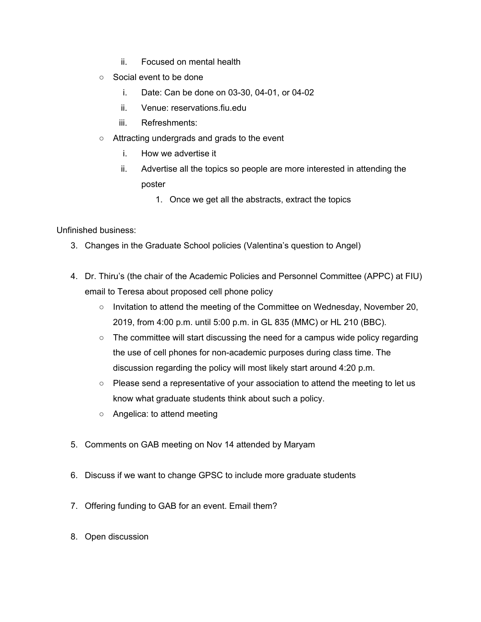- ii. Focused on mental health
- Social event to be done
	- i. Date: Can be done on 03-30, 04-01, or 04-02
	- ii. Venue: reservations.fiu.edu
	- iii. Refreshments:
- Attracting undergrads and grads to the event
	- i. How we advertise it
	- ii. Advertise all the topics so people are more interested in attending the poster
		- 1. Once we get all the abstracts, extract the topics

## Unfinished business:

- 3. Changes in the Graduate School policies (Valentina's question to Angel)
- 4. Dr. Thiru's (the chair of the Academic Policies and Personnel Committee (APPC) at FIU) email to Teresa about proposed cell phone policy
	- Invitation to attend the meeting of the Committee on Wednesday, November 20, 2019, from 4:00 p.m. until 5:00 p.m. in GL 835 (MMC) or HL 210 (BBC).
	- $\circ$  The committee will start discussing the need for a campus wide policy regarding the use of cell phones for non-academic purposes during class time. The discussion regarding the policy will most likely start around 4:20 p.m.
	- Please send a representative of your association to attend the meeting to let us know what graduate students think about such a policy.
	- Angelica: to attend meeting
- 5. Comments on GAB meeting on Nov 14 attended by Maryam
- 6. Discuss if we want to change GPSC to include more graduate students
- 7. Offering funding to GAB for an event. Email them?
- 8. Open discussion